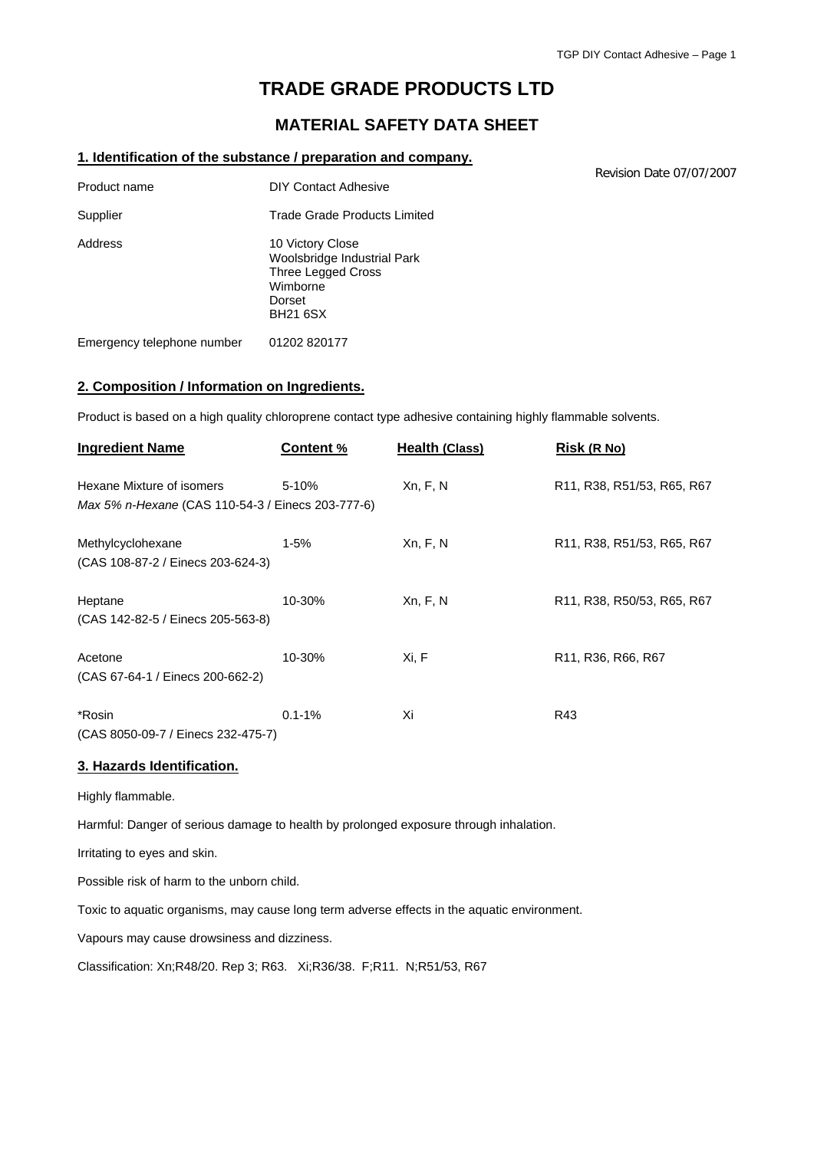Revision Date 07/07/2007

# **TRADE GRADE PRODUCTS LTD**

# **MATERIAL SAFETY DATA SHEET**

#### **1. Identification of the substance / preparation and company.**

Product name DIY Contact Adhesive Supplier Trade Grade Products Limited Address 10 Victory Close Woolsbridge Industrial Park Three Legged Cross Wimborne Dorset BH21 6SX Emergency telephone number 01202 820177

**2. Composition / Information on Ingredients.**

Product is based on a high quality chloroprene contact type adhesive containing highly flammable solvents.

| <b>Ingredient Name</b>                                                         | <b>Content %</b> | <b>Health (Class)</b> | Risk (R No)                                                                                             |
|--------------------------------------------------------------------------------|------------------|-----------------------|---------------------------------------------------------------------------------------------------------|
| Hexane Mixture of isomers<br>Max 5% n-Hexane (CAS 110-54-3 / Einecs 203-777-6) | $5 - 10%$        | Xn, F, N              | R11, R38, R51/53, R65, R67                                                                              |
| Methylcyclohexane<br>(CAS 108-87-2 / Einecs 203-624-3)                         | $1 - 5%$         | Xn, F, N              | R <sub>11</sub> , R <sub>38</sub> , R <sub>51</sub> / <sub>53</sub> , R <sub>65</sub> , R <sub>67</sub> |
| Heptane<br>(CAS 142-82-5 / Einecs 205-563-8)                                   | 10-30%           | Xn, F, N              | R11, R38, R50/53, R65, R67                                                                              |
| Acetone<br>(CAS 67-64-1 / Einecs 200-662-2)                                    | 10-30%           | Xi, F                 | R <sub>11</sub> , R <sub>36</sub> , R <sub>66</sub> , R <sub>67</sub>                                   |
| *Rosin<br>(CAS 8050-09-7 / Einecs 232-475-7)                                   | $0.1 - 1%$       | Xi                    | R43                                                                                                     |

#### **3. Hazards Identification.**

Highly flammable.

Harmful: Danger of serious damage to health by prolonged exposure through inhalation.

Irritating to eyes and skin.

Possible risk of harm to the unborn child.

Toxic to aquatic organisms, may cause long term adverse effects in the aquatic environment.

Vapours may cause drowsiness and dizziness.

Classification: Xn;R48/20. Rep 3; R63. Xi;R36/38. F;R11. N;R51/53, R67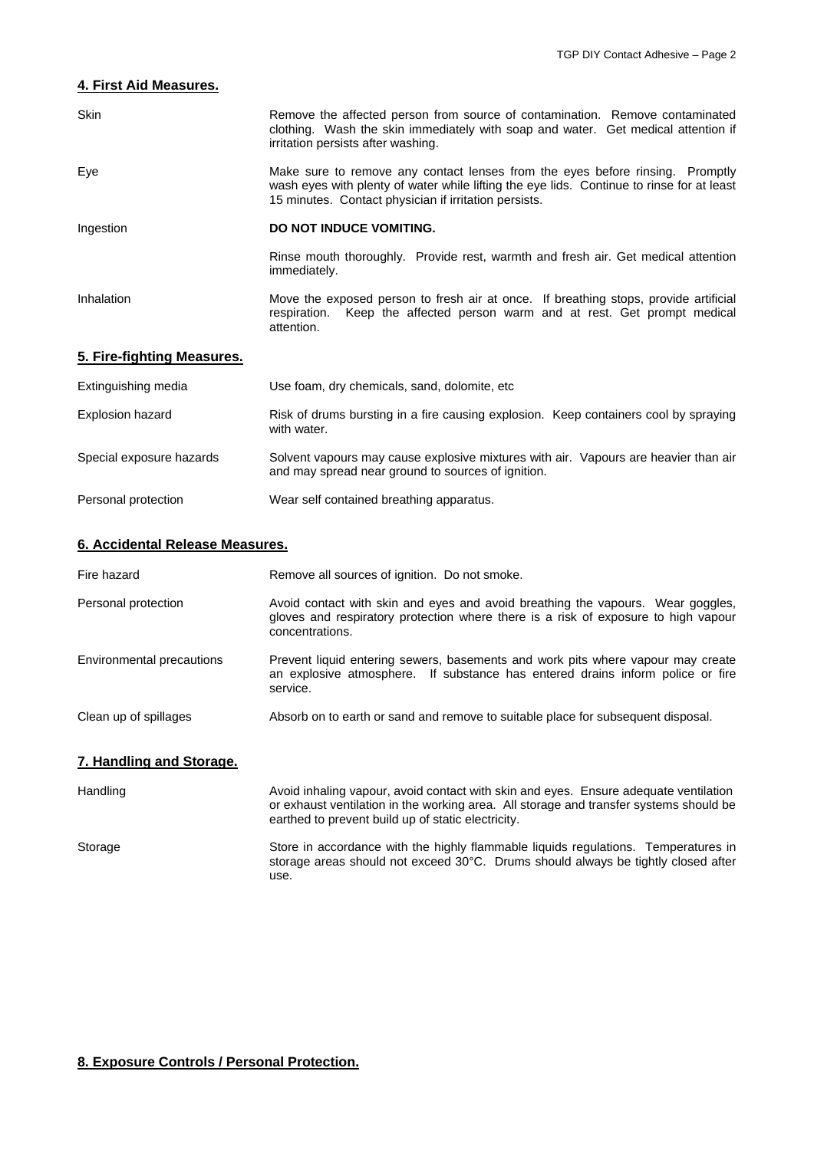## **4. First Aid Measures.**

| Skin                       | Remove the affected person from source of contamination. Remove contaminated<br>clothing. Wash the skin immediately with soap and water. Get medical attention if<br>irritation persists after washing.                             |  |  |
|----------------------------|-------------------------------------------------------------------------------------------------------------------------------------------------------------------------------------------------------------------------------------|--|--|
| Eye                        | Make sure to remove any contact lenses from the eyes before rinsing. Promptly<br>wash eyes with plenty of water while lifting the eye lids. Continue to rinse for at least<br>15 minutes. Contact physician if irritation persists. |  |  |
| Ingestion                  | DO NOT INDUCE VOMITING.                                                                                                                                                                                                             |  |  |
|                            | Rinse mouth thoroughly. Provide rest, warmth and fresh air. Get medical attention<br>immediately.                                                                                                                                   |  |  |
| Inhalation                 | Move the exposed person to fresh air at once. If breathing stops, provide artificial<br>Keep the affected person warm and at rest. Get prompt medical<br>respiration.<br>attention.                                                 |  |  |
| 5. Fire-fighting Measures. |                                                                                                                                                                                                                                     |  |  |
| Extinguishing media        | Use foam, dry chemicals, sand, dolomite, etc.                                                                                                                                                                                       |  |  |
| <b>Explosion hazard</b>    | Risk of drums bursting in a fire causing explosion. Keep containers cool by spraying<br>with water.                                                                                                                                 |  |  |
| Special exposure hazards   | Solvent vapours may cause explosive mixtures with air. Vapours are heavier than air<br>and may spread near ground to sources of ignition.                                                                                           |  |  |

Personal protection Wear self contained breathing apparatus.

#### **6. Accidental Release Measures.**

| Fire hazard               | Remove all sources of ignition. Do not smoke.                                                                                                                                            |
|---------------------------|------------------------------------------------------------------------------------------------------------------------------------------------------------------------------------------|
| Personal protection       | Avoid contact with skin and eyes and avoid breathing the vapours. Wear goggles,<br>gloves and respiratory protection where there is a risk of exposure to high vapour<br>concentrations. |
| Environmental precautions | Prevent liquid entering sewers, basements and work pits where vapour may create<br>an explosive atmosphere. If substance has entered drains inform police or fire<br>service.            |
| Clean up of spillages     | Absorb on to earth or sand and remove to suitable place for subsequent disposal.                                                                                                         |
| 7. Handling and Storage.  |                                                                                                                                                                                          |

| Handling | Avoid inhaling vapour, avoid contact with skin and eyes. Ensure adequate ventilation<br>or exhaust ventilation in the working area. All storage and transfer systems should be<br>earthed to prevent build up of static electricity. |
|----------|--------------------------------------------------------------------------------------------------------------------------------------------------------------------------------------------------------------------------------------|
| Storage  | Store in accordance with the highly flammable liquids regulations. Temperatures in<br>storage areas should not exceed 30°C. Drums should always be tightly closed after<br>use.                                                      |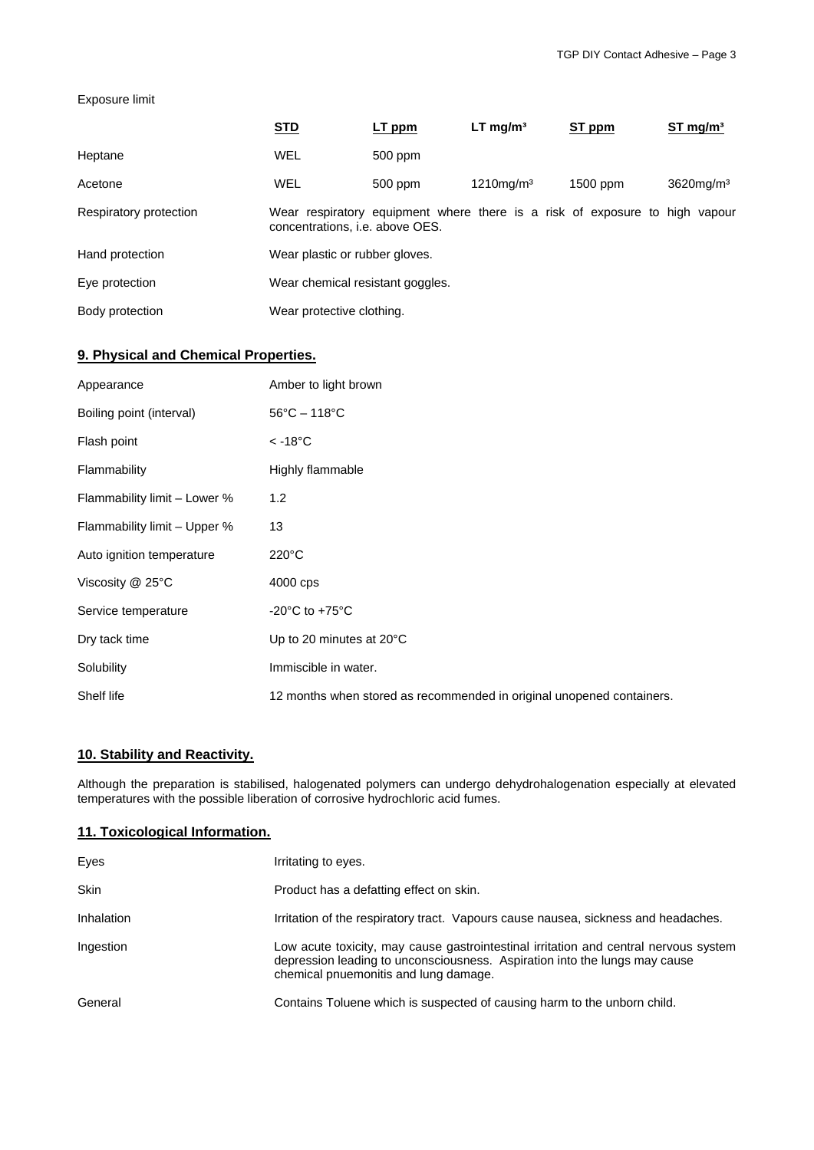#### Exposure limit

|                        | <b>STD</b>                                                                                                            | LT ppm  | $LT$ mg/m <sup>3</sup>   | ST ppm   | $ST \, mg/m3$            |
|------------------------|-----------------------------------------------------------------------------------------------------------------------|---------|--------------------------|----------|--------------------------|
| Heptane                | <b>WEL</b>                                                                                                            | 500 ppm |                          |          |                          |
| Acetone                | WEL                                                                                                                   | 500 ppm | $1210$ mg/m <sup>3</sup> | 1500 ppm | $3620$ mg/m <sup>3</sup> |
| Respiratory protection | Wear respiratory equipment where there is a risk of exposure to high vapour<br>concentrations, <i>i.e.</i> above OES. |         |                          |          |                          |
| Hand protection        | Wear plastic or rubber gloves.                                                                                        |         |                          |          |                          |
| Eye protection         | Wear chemical resistant goggles.                                                                                      |         |                          |          |                          |
| Body protection        | Wear protective clothing.                                                                                             |         |                          |          |                          |

# **9. Physical and Chemical Properties.**

| Appearance                   | Amber to light brown                                                  |
|------------------------------|-----------------------------------------------------------------------|
| Boiling point (interval)     | $56^{\circ}$ C - 118 $^{\circ}$ C                                     |
| Flash point                  | $< -18^{\circ}$ C                                                     |
| Flammability                 | Highly flammable                                                      |
| Flammability limit - Lower % | 1.2                                                                   |
| Flammability limit - Upper % | 13                                                                    |
| Auto ignition temperature    | $220^{\circ}$ C                                                       |
| Viscosity $@$ 25 $°C$        | 4000 cps                                                              |
| Service temperature          | -20 $^{\circ}$ C to +75 $^{\circ}$ C                                  |
| Dry tack time                | Up to 20 minutes at $20^{\circ}$ C                                    |
| Solubility                   | Immiscible in water.                                                  |
| Shelf life                   | 12 months when stored as recommended in original unopened containers. |

## **10. Stability and Reactivity.**

Although the preparation is stabilised, halogenated polymers can undergo dehydrohalogenation especially at elevated temperatures with the possible liberation of corrosive hydrochloric acid fumes.

#### **11. Toxicological Information.**

| Eyes        | Irritating to eyes.                                                                                                                                                                                         |
|-------------|-------------------------------------------------------------------------------------------------------------------------------------------------------------------------------------------------------------|
| <b>Skin</b> | Product has a defatting effect on skin.                                                                                                                                                                     |
| Inhalation  | Irritation of the respiratory tract. Vapours cause nausea, sickness and headaches.                                                                                                                          |
| Ingestion   | Low acute toxicity, may cause gastrointestinal irritation and central nervous system<br>depression leading to unconsciousness. Aspiration into the lungs may cause<br>chemical pnuemonitis and lung damage. |
| General     | Contains Toluene which is suspected of causing harm to the unborn child.                                                                                                                                    |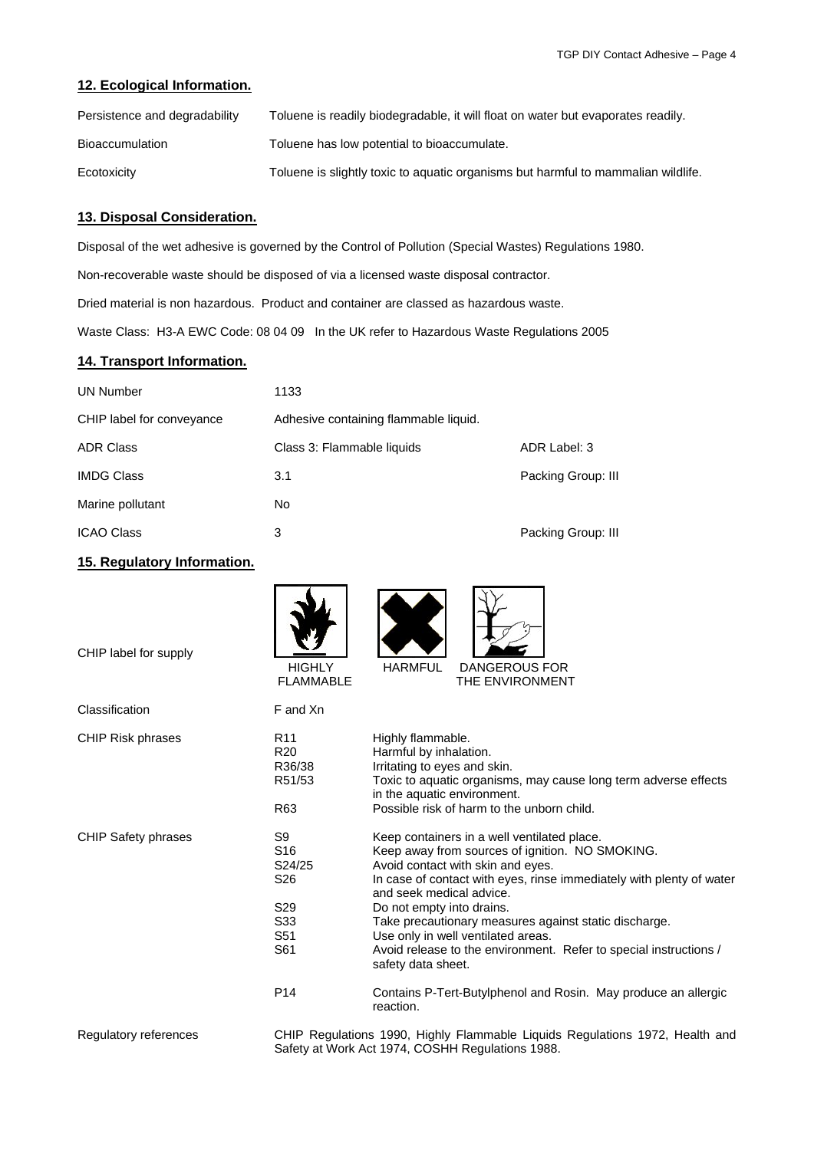#### **12. Ecological Information.**

| Persistence and degradability | Toluene is readily biodegradable, it will float on water but evaporates readily.  |
|-------------------------------|-----------------------------------------------------------------------------------|
| <b>Bioaccumulation</b>        | Toluene has low potential to bioaccumulate.                                       |
| Ecotoxicity                   | Toluene is slightly toxic to aguatic organisms but harmful to mammalian wildlife. |

#### **13. Disposal Consideration.**

Disposal of the wet adhesive is governed by the Control of Pollution (Special Wastes) Regulations 1980.

Non-recoverable waste should be disposed of via a licensed waste disposal contractor.

Dried material is non hazardous. Product and container are classed as hazardous waste.

Waste Class: H3-A EWC Code: 08 04 09 In the UK refer to Hazardous Waste Regulations 2005

# **14. Transport Information.**

| <b>UN Number</b>          | 1133                                  |                    |  |
|---------------------------|---------------------------------------|--------------------|--|
| CHIP label for conveyance | Adhesive containing flammable liquid. |                    |  |
| <b>ADR Class</b>          | Class 3: Flammable liquids            | ADR Label: 3       |  |
| IMDG Class                | 3.1                                   | Packing Group: III |  |
| Marine pollutant          | No                                    |                    |  |
| <b>ICAO Class</b>         | 3                                     | Packing Group: III |  |

# **15. Regulatory Information.**

| CHIP label for supply      | <b>HIGHLY</b><br><b>FLAMMABLE</b>                                                                      | <b>HARMFUL</b><br><b>DANGEROUS FOR</b><br>THE ENVIRONMENT                                                                                                                                                                                                                                                                                                                                                                                                      |
|----------------------------|--------------------------------------------------------------------------------------------------------|----------------------------------------------------------------------------------------------------------------------------------------------------------------------------------------------------------------------------------------------------------------------------------------------------------------------------------------------------------------------------------------------------------------------------------------------------------------|
| Classification             | F and Xn                                                                                               |                                                                                                                                                                                                                                                                                                                                                                                                                                                                |
| <b>CHIP Risk phrases</b>   | R <sub>11</sub><br>R <sub>20</sub><br>R36/38<br>R51/53<br>R63                                          | Highly flammable.<br>Harmful by inhalation.<br>Irritating to eyes and skin.<br>Toxic to aquatic organisms, may cause long term adverse effects<br>in the aquatic environment.<br>Possible risk of harm to the unborn child.                                                                                                                                                                                                                                    |
| <b>CHIP Safety phrases</b> | S9<br>S <sub>16</sub><br>S24/25<br>S <sub>26</sub><br>S <sub>29</sub><br>S <sub>33</sub><br>S51<br>S61 | Keep containers in a well ventilated place.<br>Keep away from sources of ignition. NO SMOKING.<br>Avoid contact with skin and eyes.<br>In case of contact with eyes, rinse immediately with plenty of water<br>and seek medical advice.<br>Do not empty into drains.<br>Take precautionary measures against static discharge.<br>Use only in well ventilated areas.<br>Avoid release to the environment. Refer to special instructions /<br>safety data sheet. |
|                            | P <sub>14</sub>                                                                                        | Contains P-Tert-Butylphenol and Rosin. May produce an allergic<br>reaction.                                                                                                                                                                                                                                                                                                                                                                                    |
| Regulatory references      |                                                                                                        | CHIP Regulations 1990, Highly Flammable Liquids Regulations 1972, Health and<br>Safety at Work Act 1974, COSHH Regulations 1988.                                                                                                                                                                                                                                                                                                                               |